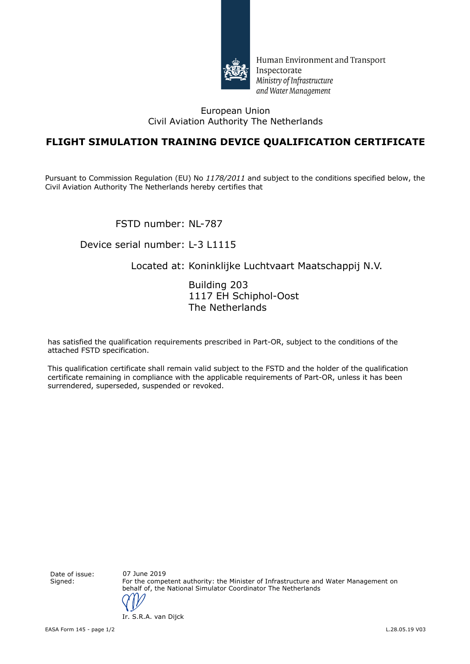

Human Environment and Transport Inspectorate Ministry of Infrastructure and Water Management

#### European Union Civil Aviation Authority The Netherlands

## **FLIGHT SIMULATION TRAINING DEVICE QUALIFICATION CERTIFICATE**

Pursuant to Commission Regulation (EU) No *1178/2011* and subject to the conditions specified below, the Civil Aviation Authority The Netherlands hereby certifies that

FSTD number: NL-787

### Device serial number: L-3 L1115

### Located at: Koninklijke Luchtvaart Maatschappij N.V.

Building 203 1117 EH Schiphol-Oost The Netherlands

has satisfied the qualification requirements prescribed in Part-OR, subject to the conditions of the attached FSTD specification.

This qualification certificate shall remain valid subject to the FSTD and the holder of the qualification certificate remaining in compliance with the applicable requirements of Part-OR, unless it has been surrendered, superseded, suspended or revoked.

Date of issue: Signed: For the competent authority: the Minister of Infrastructure and Water Management on behalf of, the National Simulator Coordinator The Netherlands 07 June 2019